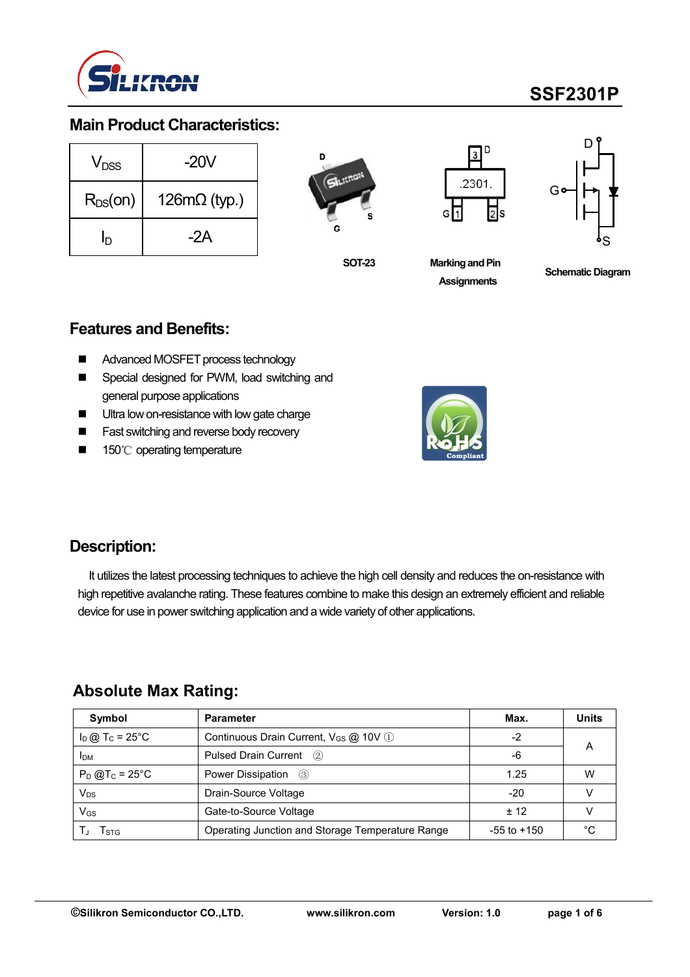

# **SSF2301P**

### **Main Product Characteristics:**

| V <sub>DSS</sub> | $-20V$              |  |  |  |  |
|------------------|---------------------|--|--|--|--|
| $R_{DS}(on)$     | $126m\Omega$ (typ.) |  |  |  |  |
| In               | -2A                 |  |  |  |  |



**SOT-23**





**Marking and Pin Assignments**

**Schematic Diagram**

#### **Features and Benefits:**

- Advanced MOSFET process technology
- **EXEC** Special designed for PWM, load switching and general purpose applications
- **Ultra low on-resistance with low gate charge**
- **Fast switching and reverse body recovery**
- 150℃ operating temperature



### **Description:**

It utilizes the latest processing techniques to achieve the high cell density and reduces the on-resistance with high repetitive avalanche rating. These features combine to make this design an extremely efficient and reliable device for use in power switching application and a wide variety of other applications.

### **Absolute Max Rating:**

| Symbol                        | <b>Parameter</b>                                  | Max.            | <b>Units</b> |
|-------------------------------|---------------------------------------------------|-----------------|--------------|
| $I_D$ @ T <sub>C</sub> = 25°C | Continuous Drain Current, V <sub>GS</sub> @ 10V 1 | -2              | A            |
| <b>IDM</b>                    | Pulsed Drain Current (2)                          | -6              |              |
| $P_D$ @T <sub>c</sub> = 25°C  | Power Dissipation (3)                             | 1.25            | W            |
| $V_{DS}$                      | Drain-Source Voltage                              | $-20$           |              |
| $V_{GS}$                      | Gate-to-Source Voltage                            | $+12$           |              |
| I STG                         | Operating Junction and Storage Temperature Range  | $-55$ to $+150$ | ∘∩           |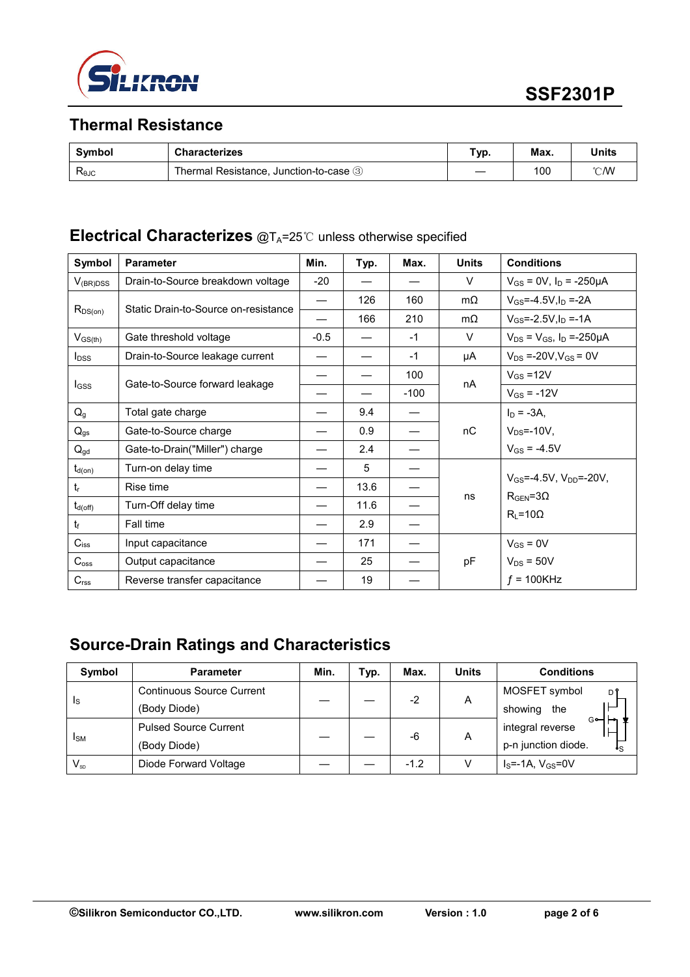

## **Thermal Resistance**

| Symbol                | <b>Characterizes</b>                   | "ур. | Max. | Units         |
|-----------------------|----------------------------------------|------|------|---------------|
| $R_{\theta$ J $\circ$ | Thermal Resistance, Junction-to-case 3 |      | 100  | $\degree$ CMV |

### **Electrical Characterizes** @T<sub>A</sub>=25℃ unless otherwise specified

| Symbol           | <b>Parameter</b>                     | Min.                     | Typ. | Max.   | <b>Units</b> | <b>Conditions</b>                                                  |
|------------------|--------------------------------------|--------------------------|------|--------|--------------|--------------------------------------------------------------------|
| $V_{(BR)DSS}$    | Drain-to-Source breakdown voltage    | $-20$                    |      |        | $\vee$       | $V_{GS} = 0V$ , $I_D = -250\mu A$                                  |
|                  | Static Drain-to-Source on-resistance | $\overline{\phantom{0}}$ | 126  | 160    | $m\Omega$    | $V_{GS} = -4.5V I_D = -2A$                                         |
| $R_{DS(on)}$     |                                      |                          | 166  | 210    | $m\Omega$    | $V_{GS} = -2.5V I_D = -1A$                                         |
| $V_{GS(th)}$     | Gate threshold voltage               | $-0.5$                   |      | $-1$   | $\vee$       | $V_{DS} = V_{GS}$ , $I_D = -250 \mu A$                             |
| $I_{DSS}$        | Drain-to-Source leakage current      |                          |      | $-1$   | μA           | $V_{DS} = -20V, V_{GS} = 0V$                                       |
|                  |                                      |                          |      | 100    |              | $V_{GS} = 12V$                                                     |
| <b>I</b> GSS     | Gate-to-Source forward leakage       |                          |      | $-100$ | nA           | $V_{GS} = -12V$                                                    |
| $Q_{g}$          | Total gate charge                    |                          | 9.4  |        |              | $I_D = -3A$ ,                                                      |
| $Q_{gs}$         | Gate-to-Source charge                |                          | 0.9  |        | nC           | $V_{DS}$ =-10V,                                                    |
| $Q_{gd}$         | Gate-to-Drain("Miller") charge       |                          | 2.4  |        |              | $V_{GS} = -4.5V$                                                   |
| $t_{d(on)}$      | Turn-on delay time                   |                          | 5    |        |              | $V_{GS} = -4.5V$ , $V_{DD} = -20V$ ,<br>$R_{\text{GEN}} = 3\Omega$ |
| $t_{r}$          | Rise time                            |                          | 13.6 |        |              |                                                                    |
| $t_{d(off)}$     | Turn-Off delay time                  |                          | 11.6 |        | ns           |                                                                    |
| $t_{\rm f}$      | Fall time                            |                          | 2.9  |        |              | $R_L = 10\Omega$                                                   |
| $C_{iss}$        | Input capacitance                    |                          | 171  |        |              | $V_{GS} = 0V$                                                      |
| $C_{\text{oss}}$ | Output capacitance                   |                          | 25   |        | pF           | $V_{DS} = 50V$                                                     |
| C <sub>rss</sub> | Reverse transfer capacitance         |                          | 19   |        |              | $f = 100$ KHz                                                      |

# **Source-Drain Ratings and Characteristics**

| Symbol                  | <b>Parameter</b>                 | Min. | тур. | Max.   | <b>Units</b> | <b>Conditions</b>         |  |
|-------------------------|----------------------------------|------|------|--------|--------------|---------------------------|--|
| $\mathsf{I}_\mathsf{S}$ | <b>Continuous Source Current</b> |      |      | $-2$   | A            | MOSFET symbol<br>D۹       |  |
|                         | (Body Diode)                     |      |      |        |              | showing<br>the            |  |
| <b>I</b> SM             | <b>Pulsed Source Current</b>     |      |      | -6     | A            | G⊶<br>integral reverse    |  |
|                         | (Body Diode)                     |      |      |        |              | p-n junction diode.<br>۰s |  |
| $V_{\text{SD}}$         | Diode Forward Voltage            |      |      | $-1.2$ |              | $I_S$ =-1A, $V_{GS}$ =0V  |  |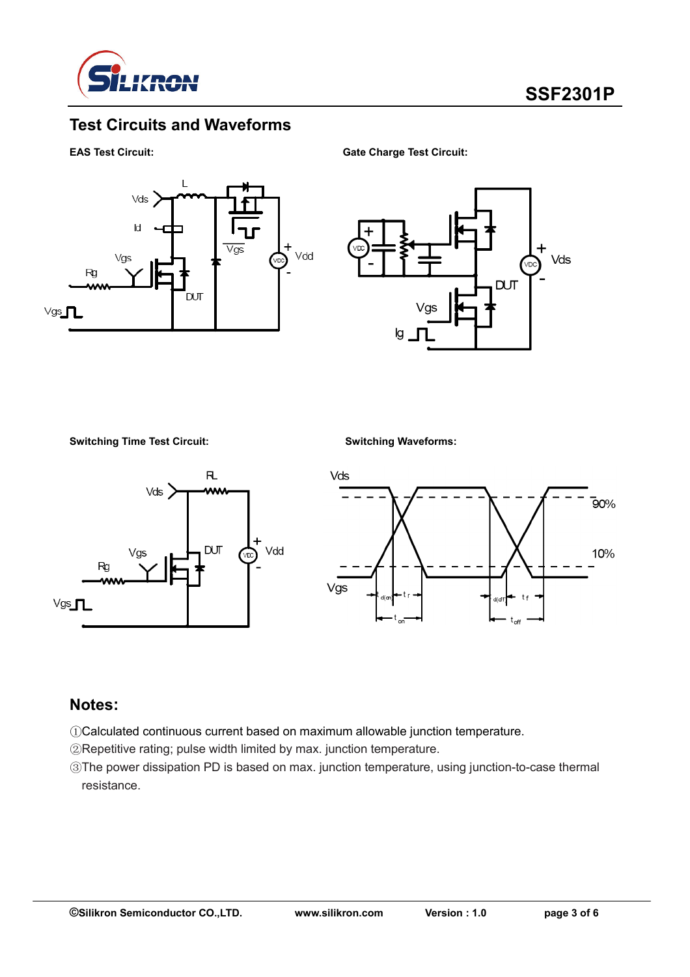

### **Test Circuits and Waveforms**

**EAS Test Circuit: Gate Charge Test Circuit:** 





**Switching Time Test Circuit: Switching Waveforms:**





### **Notes:**

- ①Calculated continuous current based on maximum allowable junction temperature.
- ②Repetitive rating; pulse width limited by max. junction temperature.
- ③The power dissipation PD is based on max. junction temperature, using junction-to-case thermal resistance.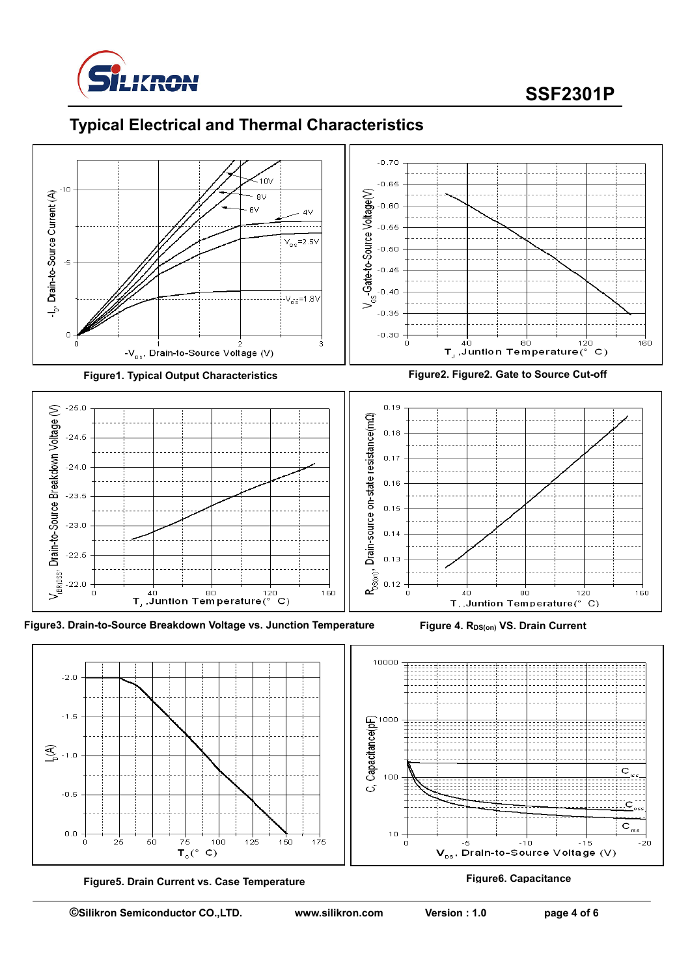

# **SSF2301P**







 $-20$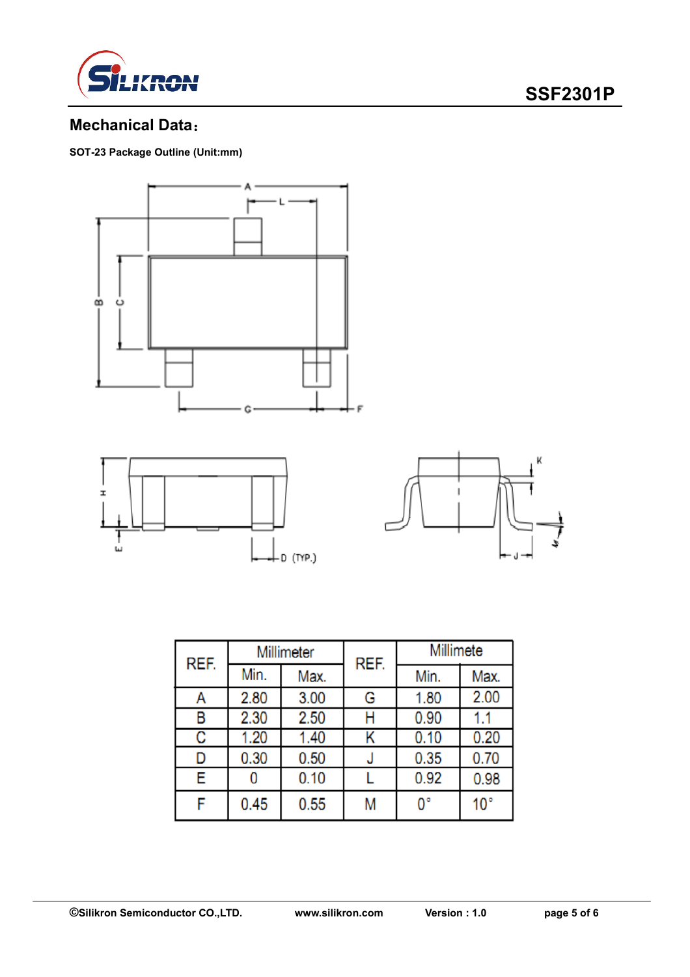



### **Mechanical Data**:

**SOT-23 Package Outline (Unit:mm)** 





| REF. | Millimeter |      | REF. | Millimete   |              |  |
|------|------------|------|------|-------------|--------------|--|
|      | Min.       | Max. |      | Min.        | Max.         |  |
| Α    | 2.80       | 3.00 | G    | 1.80        | 2.00         |  |
| в    | 2.30       | 2.50 | н    | 0.90        | 1.1          |  |
| C    | 1.20       | 1.40 | Κ    | 0.10        | 0.20         |  |
| D    | 0.30       | 0.50 |      | 0.35        | 0.70         |  |
| E    |            | 0.10 |      | 0.92        | 0.98         |  |
| F    | 0.45       | 0.55 | Μ    | $0^{\circ}$ | $10^{\circ}$ |  |